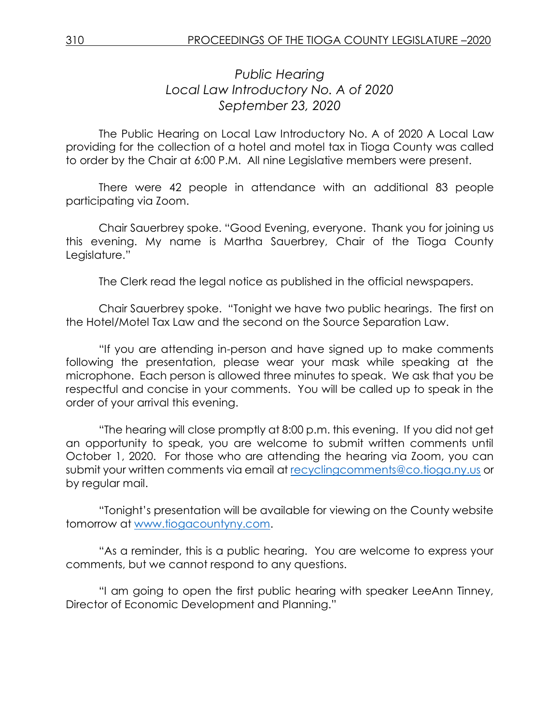## *Public Hearing Local Law Introductory No. A of 2020 September 23, 2020*

The Public Hearing on Local Law Introductory No. A of 2020 A Local Law providing for the collection of a hotel and motel tax in Tioga County was called to order by the Chair at 6:00 P.M. All nine Legislative members were present.

There were 42 people in attendance with an additional 83 people participating via Zoom.

Chair Sauerbrey spoke. "Good Evening, everyone. Thank you for joining us this evening. My name is Martha Sauerbrey, Chair of the Tioga County Legislature."

The Clerk read the legal notice as published in the official newspapers.

Chair Sauerbrey spoke. "Tonight we have two public hearings. The first on the Hotel/Motel Tax Law and the second on the Source Separation Law.

"If you are attending in-person and have signed up to make comments following the presentation, please wear your mask while speaking at the microphone. Each person is allowed three minutes to speak. We ask that you be respectful and concise in your comments. You will be called up to speak in the order of your arrival this evening.

"The hearing will close promptly at 8:00 p.m. this evening. If you did not get an opportunity to speak, you are welcome to submit written comments until October 1, 2020. For those who are attending the hearing via Zoom, you can submit your written comments via email at [recyclingcomments@co.tioga.ny.us](mailto:recyclingcomments@co.tioga.ny.us) or by regular mail.

"Tonight's presentation will be available for viewing on the County website tomorrow at [www.tiogacountyny.com.](http://www.tiogacountyny.com/)

"As a reminder, this is a public hearing. You are welcome to express your comments, but we cannot respond to any questions.

"I am going to open the first public hearing with speaker LeeAnn Tinney, Director of Economic Development and Planning."